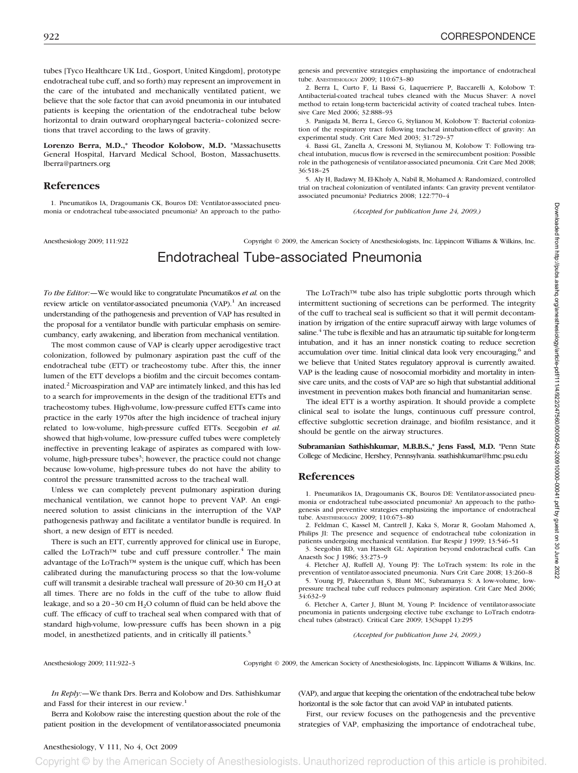tubes [Tyco Healthcare UK Ltd., Gosport, United Kingdom], prototype endotracheal tube cuff, and so forth) may represent an improvement in the care of the intubated and mechanically ventilated patient, we believe that the sole factor that can avoid pneumonia in our intubated patients is keeping the orientation of the endotracheal tube below horizontal to drain outward oropharyngeal bacteria–colonized secretions that travel according to the laws of gravity.

**Lorenzo Berra, M.D.,\* Theodor Kolobow, M.D.** \*Massachusetts General Hospital, Harvard Medical School, Boston, Massachusetts. lberra@partners.org

## **References**

1. Pneumatikos IA, Dragoumanis CK, Bouros DE: Ventilator-associated pneumonia or endotracheal tube-associated pneumonia? An approach to the pathogenesis and preventive strategies emphasizing the importance of endotracheal tube. ANESTHESIOLOGY 2009; 110:673–80

2. Berra L, Curto F, Li Bassi G, Laquerriere P, Baccarelli A, Kolobow T: Antibacterial-coated tracheal tubes cleaned with the Mucus Shaver: A novel method to retain long-term bactericidal activity of coated tracheal tubes. Intensive Care Med 2006; 32:888–93

3. Panigada M, Berra L, Greco G, Stylianou M, Kolobow T: Bacterial colonization of the respiratory tract following tracheal intubation-effect of gravity: An experimental study. Crit Care Med 2003; 31:729–37

4. Bassi GL, Zanella A, Cressoni M, Stylianou M, Kolobow T: Following tracheal intubation, mucus flow is reversed in the semirecumbent position: Possible role in the pathogenesis of ventilator-associated pneumonia. Crit Care Med 2008; 36:518–25

5. Aly H, Badawy M, El-Kholy A, Nabil R, Mohamed A: Randomized, controlled trial on tracheal colonization of ventilated infants: Can gravity prevent ventilatorassociated pneumonia? Pediatrics 2008; 122:770–4

*(Accepted for publication June 24, 2009.)*

Anesthesiology 2009; 111:922 Copyright © 2009, the American Society of Anesthesiologists, Inc. Lippincott Williams & Wilkins, Inc.

# Endotracheal Tube-associated Pneumonia

*To the Editor:—*We would like to congratulate Pneumatikos *et al.* on the review article on ventilator-associated pneumonia (VAP).<sup>1</sup> An increased understanding of the pathogenesis and prevention of VAP has resulted in the proposal for a ventilator bundle with particular emphasis on semirecumbancy, early awakening, and liberation from mechanical ventilation.

The most common cause of VAP is clearly upper aerodigestive tract colonization, followed by pulmonary aspiration past the cuff of the endotracheal tube (ETT) or tracheostomy tube. After this, the inner lumen of the ETT develops a biofilm and the circuit becomes contaminated.2 Microaspiration and VAP are intimately linked, and this has led to a search for improvements in the design of the traditional ETTs and tracheostomy tubes. High-volume, low-pressure cuffed ETTs came into practice in the early 1970s after the high incidence of tracheal injury related to low-volume, high-pressure cuffed ETTs. Seegobin *et al.* showed that high-volume, low-pressure cuffed tubes were completely ineffective in preventing leakage of aspirates as compared with lowvolume, high-pressure tubes<sup>3</sup>; however, the practice could not change because low-volume, high-pressure tubes do not have the ability to control the pressure transmitted across to the tracheal wall.

Unless we can completely prevent pulmonary aspiration during mechanical ventilation, we cannot hope to prevent VAP. An engineered solution to assist clinicians in the interruption of the VAP pathogenesis pathway and facilitate a ventilator bundle is required. In short, a new design of ETT is needed.

There is such an ETT, currently approved for clinical use in Europe, called the LoTrach™ tube and cuff pressure controller.<sup>4</sup> The main advantage of the LoTrach™ system is the unique cuff, which has been calibrated during the manufacturing process so that the low-volume cuff will transmit a desirable tracheal wall pressure of 20-30 cm  $H_2O$  at all times. There are no folds in the cuff of the tube to allow fluid leakage, and so a 20-30 cm H<sub>2</sub>O column of fluid can be held above the cuff. The efficacy of cuff to tracheal seal when compared with that of standard high-volume, low-pressure cuffs has been shown in a pig model, in anesthetized patients, and in critically ill patients.<sup>5</sup>

The LoTrach™ tube also has triple subglottic ports through which intermittent suctioning of secretions can be performed. The integrity of the cuff to tracheal seal is sufficient so that it will permit decontamination by irrigation of the entire supracuff airway with large volumes of saline. $4$  The tube is flexible and has an atraumatic tip suitable for long-term intubation, and it has an inner nonstick coating to reduce secretion accumulation over time. Initial clinical data look very encouraging, $6$  and we believe that United States regulatory approval is currently awaited. VAP is the leading cause of nosocomial morbidity and mortality in intensive care units, and the costs of VAP are so high that substantial additional investment in prevention makes both financial and humanitarian sense.

The ideal ETT is a worthy aspiration. It should provide a complete clinical seal to isolate the lungs, continuous cuff pressure control, effective subglottic secretion drainage, and biofilm resistance, and it should be gentle on the airway structures.

**Subramanian Sathishkumar, M.B.B.S.,\* Jens Fassl, M.D.** \*Penn State College of Medicine, Hershey, Pennsylvania. ssathishkumar@hmc.psu.edu

## **References**

1. Pneumatikos IA, Dragoumanis CK, Bouros DE: Ventilator-associated pneumonia or endotracheal tube-associated pneumonia? An approach to the pathogenesis and preventive strategies emphasizing the importance of endotracheal tube. ANESTHESIOLOGY 2009; 110:673–80

2. Feldman C, Kassel M, Cantrell J, Kaka S, Morar R, Goolam Mahomed A, Philips JI: The presence and sequence of endotracheal tube colonization in patients undergoing mechanical ventilation. Eur Respir J 1999; 13:546–51

3. Seegobin RD, van Hasselt GL: Aspiration beyond endotracheal cuffs. Can Anaesth Soc J 1986; 33:273–9

4. Fletcher AJ, Ruffell AJ, Young PJ: The LoTrach system: Its role in the prevention of ventilator-associated pneumonia. Nurs Crit Care 2008; 13:260–8

5. Young PJ, Pakeerathan S, Blunt MC, Subramanya S: A low-volume, lowpressure tracheal tube cuff reduces pulmonary aspiration. Crit Care Med 2006; 34:632–9

6. Fletcher A, Carter J, Blunt M, Young P: Incidence of ventilator-associate pneumonia in patients undergoing elective tube exchange to LoTrach endotracheal tubes (abstract). Critical Care 2009; 13(Suppl 1):295

*(Accepted for publication June 24, 2009.)*

Anesthesiology 2009; 111:922–3 Copyright © 2009, the American Society of Anesthesiologists, Inc. Lippincott Williams & Wilkins, Inc.

*In Reply:—*We thank Drs. Berra and Kolobow and Drs. Sathishkumar and Fassl for their interest in our review.<sup>1</sup>

Berra and Kolobow raise the interesting question about the role of the patient position in the development of ventilator-associated pneumonia

(VAP), and argue that keeping the orientation of the endotracheal tube below horizontal is the sole factor that can avoid VAP in intubated patients.

First, our review focuses on the pathogenesis and the preventive strategies of VAP, emphasizing the importance of endotracheal tube,

Copyright © by the American Society of Anesthesiologists. Unauthorized reproduction of this article is prohibited.